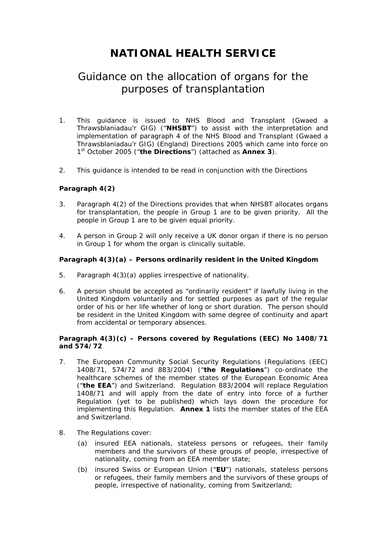# **NATIONAL HEALTH SERVICE**

## Guidance on the allocation of organs for the purposes of transplantation

- 1. This guidance is issued to NHS Blood and Transplant (Gwaed a Thrawsblaniadau'r GIG) ("**NHSBT**") to assist with the interpretation and implementation of paragraph 4 of the NHS Blood and Transplant (Gwaed a Thrawsblaniadau'r GIG) (England) Directions 2005 which came into force on 1st October 2005 ("**the Directions**") (attached as **Annex 3**).
- 2. This guidance is intended to be read in conjunction with the Directions

### **Paragraph 4(2)**

- 3. Paragraph 4(2) of the Directions provides that when NHSBT allocates organs for transplantation, the people in Group 1 are to be given priority. All the people in Group 1 are to be given equal priority.
- 4. A person in Group 2 will only receive a UK donor organ if there is no person in Group 1 for whom the organ is clinically suitable.

### **Paragraph 4(3)(a) – Persons ordinarily resident in the United Kingdom**

- 5. Paragraph 4(3)(a) applies irrespective of nationality.
- 6. A person should be accepted as "ordinarily resident" if lawfully living in the United Kingdom voluntarily and for settled purposes as part of the regular order of his or her life whether of long or short duration. The person should be resident in the United Kingdom with some degree of continuity and apart from accidental or temporary absences.

### **Paragraph 4(3)(c) – Persons covered by Regulations (EEC) No 1408/71 and 574/72**

- 7. The European Community Social Security Regulations (Regulations (EEC) 1408/71, 574/72 and 883/2004) ("**the Regulations**") co-ordinate the healthcare schemes of the member states of the European Economic Area ("**the EEA**") and Switzerland. Regulation 883/2004 will replace Regulation 1408/71 and will apply from the date of entry into force of a further Regulation (yet to be published) which lays down the procedure for implementing this Regulation. **Annex 1** lists the member states of the EEA and Switzerland.
- 8. The Regulations cover:
	- (a) insured EEA nationals, stateless persons or refugees, their family members and the survivors of these groups of people, irrespective of nationality, coming from an EEA member state;
	- (b) insured Swiss or European Union ("**EU**") nationals, stateless persons or refugees, their family members and the survivors of these groups of people, irrespective of nationality, coming from Switzerland;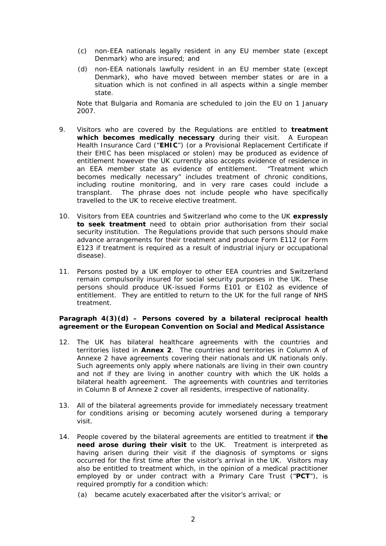- (c) non-EEA nationals legally resident in any EU member state (except Denmark) who are insured; and
- (d) non-EEA nationals lawfully resident in an EU member state (except Denmark), who have moved between member states or are in a situation which is not confined in all aspects within a single member state.

Note that Bulgaria and Romania are scheduled to join the EU on 1 January 2007.

- 9. Visitors who are covered by the Regulations are entitled to **treatment which becomes medically necessary** during their visit. A European Health Insurance Card ("**EHIC**") (or a Provisional Replacement Certificate if their EHIC has been misplaced or stolen) may be produced as evidence of entitlement however the UK currently also accepts evidence of residence in an EEA member state as evidence of entitlement. "Treatment which becomes medically necessary" includes treatment of chronic conditions, including routine monitoring, and in very rare cases could include a transplant. The phrase does not include people who have specifically travelled to the UK to receive elective treatment.
- 10. Visitors from EEA countries and Switzerland who come to the UK **expressly to seek treatment** need to obtain prior authorisation from their social security institution. The Regulations provide that such persons should make advance arrangements for their treatment and produce Form E112 (or Form E123 if treatment is required as a result of industrial injury or occupational disease).
- 11. Persons posted by a UK employer to other EEA countries and Switzerland remain compulsorily insured for social security purposes in the UK. These persons should produce UK-issued Forms E101 or E102 as evidence of entitlement. They are entitled to return to the UK for the full range of NHS treatment.

### **Paragraph 4(3)(d) – Persons covered by a bilateral reciprocal health agreement or the European Convention on Social and Medical Assistance**

- 12. The UK has bilateral healthcare agreements with the countries and territories listed in **Annex 2**. The countries and territories in Column A of Annexe 2 have agreements covering their nationals and UK nationals only. Such agreements only apply where nationals are living in their own country and not if they are living in another country with which the UK holds a bilateral health agreement. The agreements with countries and territories in Column B of Annexe 2 cover all residents, irrespective of nationality.
- 13. All of the bilateral agreements provide for immediately necessary treatment for conditions arising or becoming acutely worsened during a temporary visit.
- 14. People covered by the bilateral agreements are entitled to treatment if **the need arose during their visit** to the UK. Treatment is interpreted as having arisen during their visit if the diagnosis of symptoms or signs occurred for the first time after the visitor's arrival in the UK. Visitors may also be entitled to treatment which, in the opinion of a medical practitioner employed by or under contract with a Primary Care Trust ("**PCT**"), is required promptly for a condition which:
	- (a) became acutely exacerbated after the visitor's arrival; or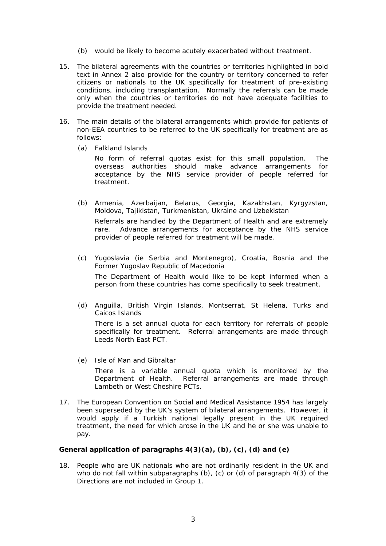- (b) would be likely to become acutely exacerbated without treatment.
- 15. The bilateral agreements with the countries or territories highlighted in bold text in Annex 2 also provide for the country or territory concerned to refer citizens or nationals to the UK specifically for treatment of pre-existing conditions, including transplantation. Normally the referrals can be made only when the countries or territories do not have adequate facilities to provide the treatment needed.
- 16. The main details of the bilateral arrangements which provide for patients of non-EEA countries to be referred to the UK specifically for treatment are as follows:
	- (a) *Falkland Islands*

No form of referral quotas exist for this small population. The overseas authorities should make advance arrangements for acceptance by the NHS service provider of people referred for treatment.

(b) *Armenia, Azerbaijan, Belarus, Georgia, Kazakhstan, Kyrgyzstan, Moldova, Tajikistan, Turkmenistan, Ukraine and Uzbekistan*

Referrals are handled by the Department of Health and are extremely rare. Advance arrangements for acceptance by the NHS service provider of people referred for treatment will be made.

(c) *Yugoslavia (ie Serbia and Montenegro), Croatia, Bosnia and the Former Yugoslav Republic of Macedonia*

The Department of Health would like to be kept informed when a person from these countries has come specifically to seek treatment.

(d) *Anguilla, British Virgin Islands, Montserrat, St Helena, Turks and Caicos Islands* 

There is a set annual quota for each territory for referrals of people specifically for treatment. Referral arrangements are made through Leeds North East PCT.

(e) *Isle of Man and Gibraltar*

There is a variable annual quota which is monitored by the Department of Health. Referral arrangements are made through Lambeth or West Cheshire PCTs.

17. The European Convention on Social and Medical Assistance 1954 has largely been superseded by the UK's system of bilateral arrangements. However, it would apply if a Turkish national legally present in the UK required treatment, the need for which arose in the UK and he or she was unable to pay.

### **General application of paragraphs 4(3)(a), (b), (c), (d) and (e)**

18. People who are UK nationals who are not ordinarily resident in the UK and who do not fall within subparagraphs (b), (c) or (d) of paragraph 4(3) of the Directions are not included in Group 1.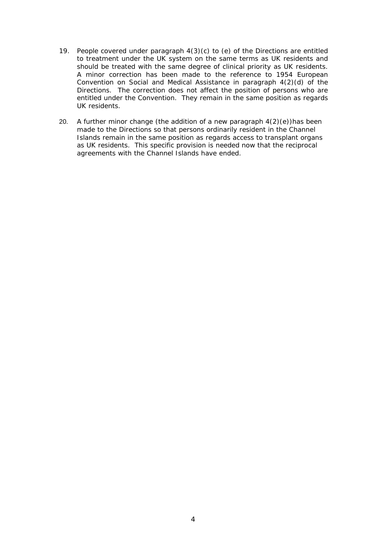- 19. People covered under paragraph  $4(3)(c)$  to (e) of the Directions are entitled to treatment under the UK system on the same terms as UK residents and should be treated with the same degree of clinical priority as UK residents. A minor correction has been made to the reference to 1954 European Convention on Social and Medical Assistance in paragraph 4(2)(d) of the Directions. The correction does not affect the position of persons who are entitled under the Convention. They remain in the same position as regards UK residents.
- 20. A further minor change (the addition of a new paragraph  $4(2)(e)$ ) has been made to the Directions so that persons ordinarily resident in the Channel Islands remain in the same position as regards access to transplant organs as UK residents. This specific provision is needed now that the reciprocal agreements with the Channel Islands have ended.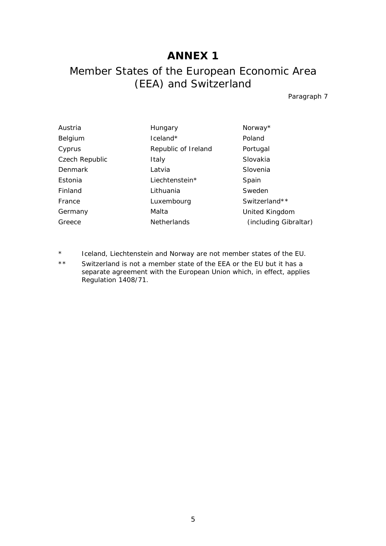## **ANNEX 1**

# Member States of the European Economic Area (EEA) and Switzerland

Paragraph 7

| Hungary             | Norway*               |
|---------------------|-----------------------|
| $l$ celand $*$      | Poland                |
| Republic of Ireland | Portugal              |
| Italy               | Slovakia              |
| Latvia              | Slovenia              |
| Liechtenstein*      | Spain                 |
| Lithuania           | Sweden                |
| Luxembourg          | Switzerland**         |
| Malta               | United Kingdom        |
| <b>Netherlands</b>  | (including Gibraltar) |
|                     |                       |

- \* Iceland, Liechtenstein and Norway are not member states of the EU.
- \*\* Switzerland is not a member state of the EEA or the EU but it has a separate agreement with the European Union which, in effect, applies Regulation 1408/71.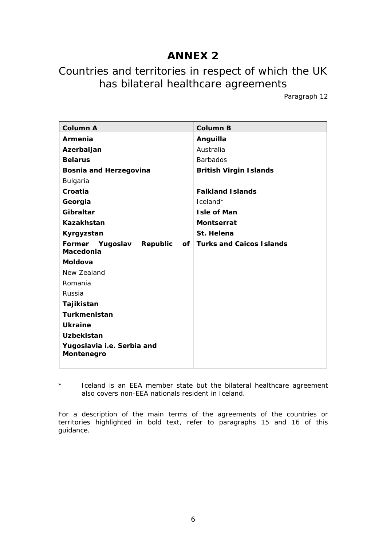# **ANNEX 2**

# Countries and territories in respect of which the UK has bilateral healthcare agreements

Paragraph 12

| <b>Column A</b>                          | <b>Column B</b>                 |
|------------------------------------------|---------------------------------|
| Armenia                                  | Anguilla                        |
| Azerbaijan                               | Australia                       |
| <b>Belarus</b>                           | <b>Barbados</b>                 |
| Bosnia and Herzegovina                   | <b>British Virgin Islands</b>   |
| Bulgaria                                 |                                 |
| Croatia                                  | <b>Falkland Islands</b>         |
| Georgia                                  | Iceland*                        |
| Gibraltar                                | <b>Isle of Man</b>              |
| Kazakhstan                               | <b>Montserrat</b>               |
| Kyrgyzstan                               | St. Helena                      |
| Former<br>Yugoslav<br>Republic<br>οf     | <b>Turks and Caicos Islands</b> |
| Macedonia                                |                                 |
| Moldova                                  |                                 |
| New Zealand                              |                                 |
| Romania                                  |                                 |
| Russia                                   |                                 |
| Tajikistan                               |                                 |
| Turkmenistan                             |                                 |
| <b>Ukraine</b>                           |                                 |
| <b>Uzbekistan</b>                        |                                 |
| Yugoslavia i.e. Serbia and<br>Montenegro |                                 |

\* Iceland is an EEA member state but the bilateral healthcare agreement also covers non-EEA nationals resident in Iceland.

For a description of the main terms of the agreements of the countries or territories highlighted in bold text, refer to paragraphs 15 and 16 of this guidance.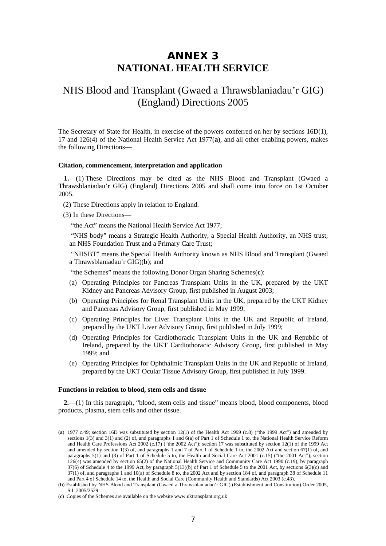## **ANNEX 3 NATIONAL HEALTH SERVICE**

## NHS Blood and Transplant (Gwaed a Thrawsblaniadau'r GIG) (England) Directions 2005

The Secretary of State for Health, in exercise of the powers conferred on her by sections 16D(1), 17 and 126(4) of the National Health Service Act 1977(**a**), and all other enabling powers, makes the following Directions—

#### **Citation, commencement, interpretation and application**

**1.**—(1) These Directions may be cited as the NHS Blood and Transplant (Gwaed a Thrawsblaniadau'r GIG) (England) Directions 2005 and shall come into force on 1st October 2005.

- (2) These Directions apply in relation to England.
- (3) In these Directions—

"the Act" means the National Health Service Act 1977;

"NHS body" means a Strategic Health Authority, a Special Health Authority, an NHS trust, an NHS Foundation Trust and a Primary Care Trust;

"NHSBT" means the Special Health Authority known as NHS Blood and Transplant (Gwaed a Thrawsblaniadau'r GIG)(**b**); and

"the Schemes" means the following Donor Organ Sharing Schemes(**c**):

- (a) Operating Principles for Pancreas Transplant Units in the UK, prepared by the UKT Kidney and Pancreas Advisory Group, first published in August 2003;
- (b) Operating Principles for Renal Transplant Units in the UK, prepared by the UKT Kidney and Pancreas Advisory Group, first published in May 1999;
- (c) Operating Principles for Liver Transplant Units in the UK and Republic of Ireland, prepared by the UKT Liver Advisory Group, first published in July 1999;
- (d) Operating Principles for Cardiothoracic Transplant Units in the UK and Republic of Ireland, prepared by the UKT Cardiothoracic Advisory Group, first published in May 1999; and
- (e) Operating Principles for Ophthalmic Transplant Units in the UK and Republic of Ireland, prepared by the UKT Ocular Tissue Advisory Group, first published in July 1999.

#### **Functions in relation to blood, stem cells and tissue**

**2.**—(1) In this paragraph, "blood, stem cells and tissue" means blood, blood components, blood products, plasma, stem cells and other tissue.

 <sup>(</sup>**a**) 1977 c.49; section 16D was substituted by section 12(1) of the Health Act 1999 (c.8) ("the 1999 Act") and amended by sections 1(3) and 3(1) and (2) of, and paragraphs 1 and 6(a) of Part 1 of Schedule 1 to, the National Health Service Reform and Health Care Professions Act 2002 (c.17) ("the 2002 Act"); section 17 was substituted by section 12(1) of the 1999 Act and amended by section 1(3) of, and paragraphs 1 and 7 of Part 1 of Schedule 1 to, the 2002 Act and section 67(1) of, and paragraphs 5(1) and (3) of Part 1 of Schedule 5 to, the Health and Social Care Act 2001 (c.15) ("the 2001 Act"); section 126(4) was amended by section 65(2) of the National Health Service and Community Care Act 1990 (c.19), by paragraph 37(6) of Schedule 4 to the 1999 Act, by paragraph 5(13)(b) of Part 1 of Schedule 5 to the 2001 Act, by sections 6(3)(c) and 37(1) of, and paragraphs 1 and 10(a) of Schedule 8 to, the 2002 Act and by section 184 of, and paragraph 38 of Schedule 11 and Part 4 of Schedule 14 to, the Health and Social Care (Community Health and Standards) Act 2003 (c.43).

<sup>(</sup>**b**) Established by NHS Blood and Transplant (Gwaed a Thrawsblaniadau'r GIG) (Establishment and Constitution) Order 2005, S.I. 2005/2529.

<sup>(</sup>**c**) Copies of the Schemes are available on the website www.uktransplant.org.uk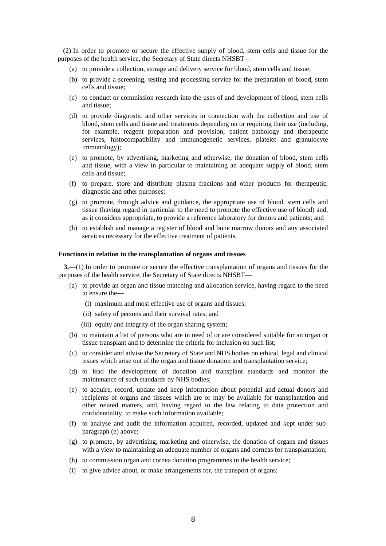(2) In order to promote or secure the effective supply of blood, stem cells and tissue for the purposes of the health service, the Secretary of State directs NHSBT—

- (a) to provide a collection, storage and delivery service for blood, stem cells and tissue;
- (b) to provide a screening, testing and processing service for the preparation of blood, stem cells and tissue;
- (c) to conduct or commission research into the uses of and development of blood, stem cells and tissue;
- (d) to provide diagnostic and other services in connection with the collection and use of blood, stem cells and tissue and treatments depending on or requiring their use (including, for example, reagent preparation and provision, patient pathology and therapeutic services, histocompatibility and immunogenetic services, platelet and granulocyte immunology);
- (e) to promote, by advertising, marketing and otherwise, the donation of blood, stem cells and tissue, with a view in particular to maintaining an adequate supply of blood, stem cells and tissue;
- (f) to prepare, store and distribute plasma fractions and other products for therapeutic, diagnostic and other purposes;
- (g) to promote, through advice and guidance, the appropriate use of blood, stem cells and tissue (having regard in particular to the need to promote the effective use of blood) and, as it considers appropriate, to provide a reference laboratory for donors and patients; and
- (h) to establish and manage a register of blood and bone marrow donors and any associated services necessary for the effective treatment of patients.

#### **Functions in relation to the transplantation of organs and tissues**

**3.**—(1) In order to promote or secure the effective transplantation of organs and tissues for the purposes of the health service, the Secretary of State directs NHSBT—

- (a) to provide an organ and tissue matching and allocation service, having regard to the need to ensure the—
	- (i) maximum and most effective use of organs and tissues;
	- (ii) safety of persons and their survival rates; and
	- (iii) equity and integrity of the organ sharing system;
- (b) to maintain a list of persons who are in need of or are considered suitable for an organ or tissue transplant and to determine the criteria for inclusion on such list;
- (c) to consider and advise the Secretary of State and NHS bodies on ethical, legal and clinical issues which arise out of the organ and tissue donation and transplantation service;
- (d) to lead the development of donation and transplant standards and monitor the maintenance of such standards by NHS bodies;
- (e) to acquire, record, update and keep information about potential and actual donors and recipients of organs and tissues which are or may be available for transplantation and other related matters, and, having regard to the law relating to data protection and confidentiality, to make such information available;
- (f) to analyse and audit the information acquired, recorded, updated and kept under subparagraph (e) above;
- (g) to promote, by advertising, marketing and otherwise, the donation of organs and tissues with a view to maintaining an adequate number of organs and corneas for transplantation;
- (h) to commission organ and cornea donation programmes in the health service;
- (i) to give advice about, or make arrangements for, the transport of organs;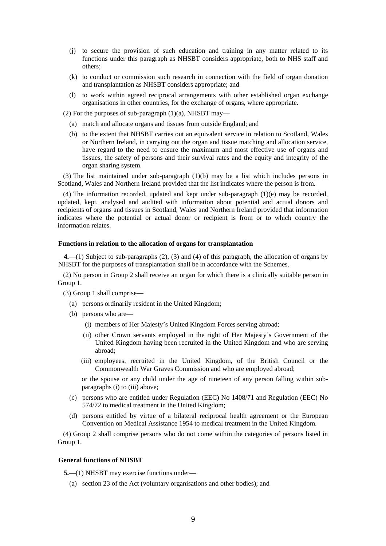- (j) to secure the provision of such education and training in any matter related to its functions under this paragraph as NHSBT considers appropriate, both to NHS staff and others;
- (k) to conduct or commission such research in connection with the field of organ donation and transplantation as NHSBT considers appropriate; and
- (l) to work within agreed reciprocal arrangements with other established organ exchange organisations in other countries, for the exchange of organs, where appropriate.
- (2) For the purposes of sub-paragraph  $(1)(a)$ , NHSBT may—
	- (a) match and allocate organs and tissues from outside England; and
	- (b) to the extent that NHSBT carries out an equivalent service in relation to Scotland, Wales or Northern Ireland, in carrying out the organ and tissue matching and allocation service, have regard to the need to ensure the maximum and most effective use of organs and tissues, the safety of persons and their survival rates and the equity and integrity of the organ sharing system.

(3) The list maintained under sub-paragraph  $(1)(b)$  may be a list which includes persons in Scotland, Wales and Northern Ireland provided that the list indicates where the person is from.

(4) The information recorded, updated and kept under sub-paragraph (1)(e) may be recorded, updated, kept, analysed and audited with information about potential and actual donors and recipients of organs and tissues in Scotland, Wales and Northern Ireland provided that information indicates where the potential or actual donor or recipient is from or to which country the information relates.

#### **Functions in relation to the allocation of organs for transplantation**

**4.**—(1) Subject to sub-paragraphs (2), (3) and (4) of this paragraph, the allocation of organs by NHSBT for the purposes of transplantation shall be in accordance with the Schemes.

(2) No person in Group 2 shall receive an organ for which there is a clinically suitable person in Group 1.

- (3) Group 1 shall comprise—
	- (a) persons ordinarily resident in the United Kingdom;
	- (b) persons who are—
		- (i) members of Her Majesty's United Kingdom Forces serving abroad;
		- (ii) other Crown servants employed in the right of Her Majesty's Government of the United Kingdom having been recruited in the United Kingdom and who are serving abroad;
		- (iii) employees, recruited in the United Kingdom, of the British Council or the Commonwealth War Graves Commission and who are employed abroad;

or the spouse or any child under the age of nineteen of any person falling within subparagraphs (i) to (iii) above;

- (c) persons who are entitled under Regulation (EEC) No 1408/71 and Regulation (EEC) No 574/72 to medical treatment in the United Kingdom;
- (d) persons entitled by virtue of a bilateral reciprocal health agreement or the European Convention on Medical Assistance 1954 to medical treatment in the United Kingdom.

(4) Group 2 shall comprise persons who do not come within the categories of persons listed in Group 1.

#### **General functions of NHSBT**

**5.**—(1) NHSBT may exercise functions under—

(a) section 23 of the Act (voluntary organisations and other bodies); and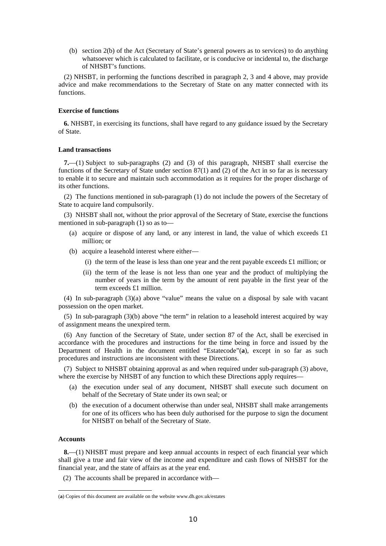(b) section 2(b) of the Act (Secretary of State's general powers as to services) to do anything whatsoever which is calculated to facilitate, or is conducive or incidental to, the discharge of NHSBT's functions.

(2) NHSBT, in performing the functions described in paragraph 2, 3 and 4 above, may provide advice and make recommendations to the Secretary of State on any matter connected with its functions.

### **Exercise of functions**

**6.** NHSBT, in exercising its functions, shall have regard to any guidance issued by the Secretary of State.

#### **Land transactions**

**7.**—(1) Subject to sub-paragraphs (2) and (3) of this paragraph, NHSBT shall exercise the functions of the Secretary of State under section 87(1) and (2) of the Act in so far as is necessary to enable it to secure and maintain such accommodation as it requires for the proper discharge of its other functions.

(2) The functions mentioned in sub-paragraph (1) do not include the powers of the Secretary of State to acquire land compulsorily.

(3) NHSBT shall not, without the prior approval of the Secretary of State, exercise the functions mentioned in sub-paragraph (1) so as to—

- (a) acquire or dispose of any land, or any interest in land, the value of which exceeds  $\pounds 1$ million; or
- (b) acquire a leasehold interest where either—
	- (i) the term of the lease is less than one year and the rent payable exceeds  $\pounds 1$  million; or
	- (ii) the term of the lease is not less than one year and the product of multiplying the number of years in the term by the amount of rent payable in the first year of the term exceeds £1 million.

(4) In sub-paragraph (3)(a) above "value" means the value on a disposal by sale with vacant possession on the open market.

(5) In sub-paragraph (3)(b) above "the term" in relation to a leasehold interest acquired by way of assignment means the unexpired term.

(6) Any function of the Secretary of State, under section 87 of the Act, shall be exercised in accordance with the procedures and instructions for the time being in force and issued by the Department of Health in the document entitled "Estatecode"(**a**), except in so far as such procedures and instructions are inconsistent with these Directions.

(7) Subject to NHSBT obtaining approval as and when required under sub-paragraph (3) above, where the exercise by NHSBT of any function to which these Directions apply requires—

- (a) the execution under seal of any document, NHSBT shall execute such document on behalf of the Secretary of State under its own seal; or
- (b) the execution of a document otherwise than under seal, NHSBT shall make arrangements for one of its officers who has been duly authorised for the purpose to sign the document for NHSBT on behalf of the Secretary of State.

#### **Accounts**

**8.**—(1) NHSBT must prepare and keep annual accounts in respect of each financial year which shall give a true and fair view of the income and expenditure and cash flows of NHSBT for the financial year, and the state of affairs as at the year end.

(2) The accounts shall be prepared in accordance with—

 <sup>(</sup>**a**) Copies of this document are available on the website www.dh.gov.uk/estates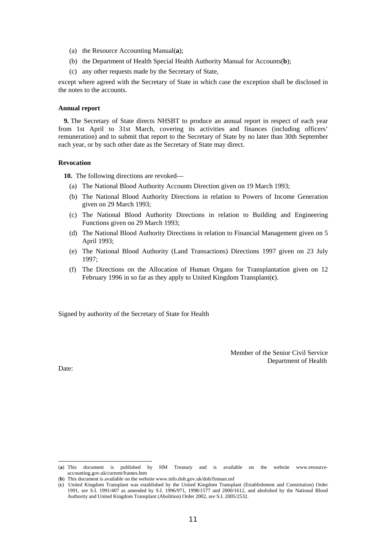- (a) the Resource Accounting Manual(**a**);
- (b) the Department of Health Special Health Authority Manual for Accounts(**b**);
- (c) any other requests made by the Secretary of State,

except where agreed with the Secretary of State in which case the exception shall be disclosed in the notes to the accounts.

#### **Annual report**

**9.** The Secretary of State directs NHSBT to produce an annual report in respect of each year from 1st April to 31st March, covering its activities and finances (including officers' remuneration) and to submit that report to the Secretary of State by no later than 30th September each year, or by such other date as the Secretary of State may direct.

#### **Revocation**

**10.** The following directions are revoked—

- (a) The National Blood Authority Accounts Direction given on 19 March 1993;
- (b) The National Blood Authority Directions in relation to Powers of Income Generation given on 29 March 1993;
- (c) The National Blood Authority Directions in relation to Building and Engineering Functions given on 29 March 1993;
- (d) The National Blood Authority Directions in relation to Financial Management given on 5 April 1993;
- (e) The National Blood Authority (Land Transactions) Directions 1997 given on 23 July 1997;
- (f) The Directions on the Allocation of Human Organs for Transplantation given on 12 February 1996 in so far as they apply to United Kingdom Transplant(**c**).

Signed by authority of the Secretary of State for Health

Member of the Senior Civil Service Department of Health

Date:

 <sup>(</sup>**a**) This document is published by HM Treasury and is available on the website www.resourceaccounting.gov.uk/current/frames.htm

<sup>(</sup>**b**) This document is available on the website www.info.doh.gov.uk/doh/finman.nsf

<sup>(</sup>**c**) United Kingdom Transplant was established by the United Kingdom Transplant (Establishment and Constitution) Order 1991, *see* S.I. 1991/407 as amended by S.I. 1996/971, 1998/1577 and 2000/1612, and abolished by the National Blood Authority and United Kingdom Transplant (Abolition) Order 2002, *see* S.I. 2005/2532.